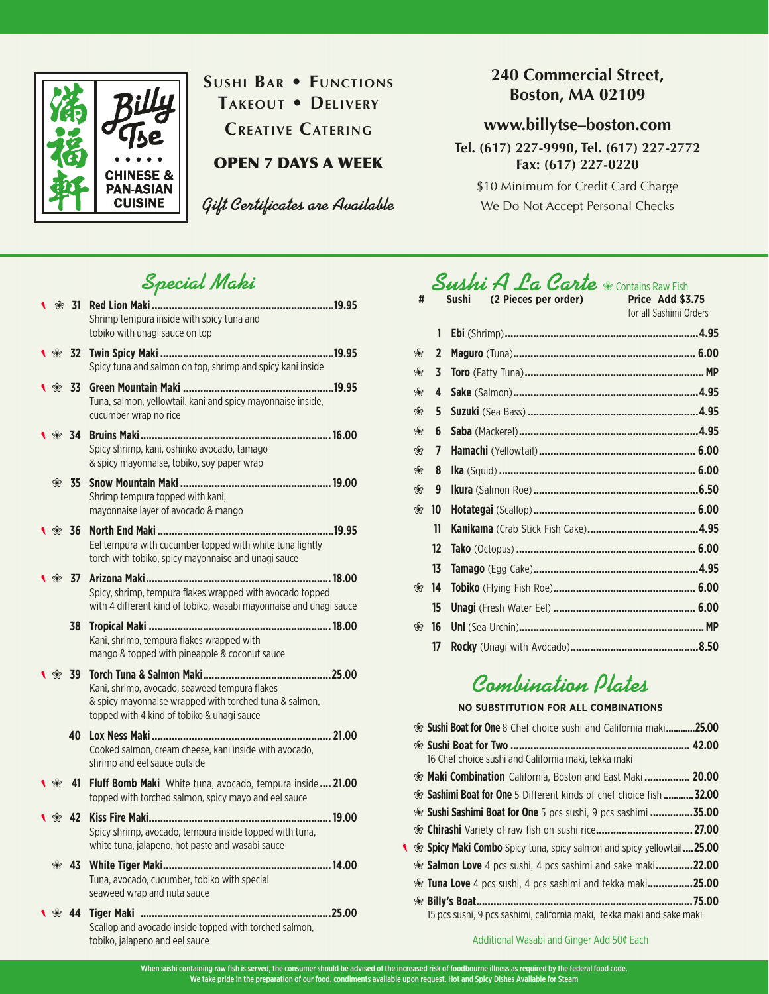

### **Sushi Bar • Functions Takeout • Delivery**

**Creative Catering**

#### OPEN 7 DAYS A WEEK

*Gift Certificates are Available*

#### **240 Commercial Street, Boston, MA 02109**

#### **www.billytse–boston.com**

**Tel. (617) 227-9990, Tel. (617) 227-2772 Fax: (617) 227-0220**

\$10 Minimum for Credit Card Charge We Do Not Accept Personal Checks

# *Special Maki*

|                  | % 31                        |                                                                                                                                 |  |
|------------------|-----------------------------|---------------------------------------------------------------------------------------------------------------------------------|--|
|                  |                             | Shrimp tempura inside with spicy tuna and                                                                                       |  |
|                  |                             | tobiko with unagi sauce on top                                                                                                  |  |
|                  | $\frac{1}{2}$ $\frac{1}{2}$ |                                                                                                                                 |  |
|                  |                             | Spicy tuna and salmon on top, shrimp and spicy kani inside                                                                      |  |
| ❀                | - 33                        |                                                                                                                                 |  |
|                  |                             | Tuna, salmon, yellowtail, kani and spicy mayonnaise inside,<br>cucumber wrap no rice                                            |  |
|                  | 834                         |                                                                                                                                 |  |
|                  |                             | Spicy shrimp, kani, oshinko avocado, tamago                                                                                     |  |
|                  |                             | & spicy mayonnaise, tobiko, soy paper wrap                                                                                      |  |
|                  | * 35                        |                                                                                                                                 |  |
|                  |                             | Shrimp tempura topped with kani,                                                                                                |  |
|                  |                             | mayonnaise layer of avocado & mango                                                                                             |  |
| $\frac{1}{8}$ 36 |                             |                                                                                                                                 |  |
|                  |                             | Eel tempura with cucumber topped with white tuna lightly                                                                        |  |
|                  |                             | torch with tobiko, spicy mayonnaise and unagi sauce                                                                             |  |
|                  |                             |                                                                                                                                 |  |
|                  |                             | Spicy, shrimp, tempura flakes wrapped with avocado topped<br>with 4 different kind of tobiko, wasabi mayonnaise and unagi sauce |  |
|                  | 38                          |                                                                                                                                 |  |
|                  |                             | Kani, shrimp, tempura flakes wrapped with                                                                                       |  |
|                  |                             | mango & topped with pineapple & coconut sauce                                                                                   |  |
| * 39             |                             |                                                                                                                                 |  |
|                  |                             | Kani, shrimp, avocado, seaweed tempura flakes                                                                                   |  |
|                  |                             | & spicy mayonnaise wrapped with torched tuna & salmon,                                                                          |  |
|                  |                             | topped with 4 kind of tobiko & unagi sauce                                                                                      |  |
|                  | 40                          |                                                                                                                                 |  |
|                  |                             | Cooked salmon, cream cheese, kani inside with avocado,<br>shrimp and eel sauce outside                                          |  |
|                  |                             |                                                                                                                                 |  |
| ❀                | 41                          | <b>Fluff Bomb Maki</b> White tuna, avocado, tempura inside  21.00<br>topped with torched salmon, spicy mayo and eel sauce       |  |
|                  |                             |                                                                                                                                 |  |
| ⊛ 42             |                             | Spicy shrimp, avocado, tempura inside topped with tuna,                                                                         |  |
|                  |                             | white tuna, jalapeno, hot paste and wasabi sauce                                                                                |  |
| ❀                | -43                         |                                                                                                                                 |  |
|                  |                             | Tuna, avocado, cucumber, tobiko with special                                                                                    |  |
|                  |                             | seaweed wrap and nuta sauce                                                                                                     |  |
|                  | * 44                        |                                                                                                                                 |  |
|                  |                             | Scallop and avocado inside topped with torched salmon,                                                                          |  |

tobiko, jalapeno and eel sauce

# *Sushi A La Carte* ❀ Contains Raw Fish **# Sushi (2 Pieces per order) Price Add \$3.75**

| ₩ |                  | əusni<br>(2 Pieces per orger) | Price Agg 35.75<br>for all Sashimi Orders |
|---|------------------|-------------------------------|-------------------------------------------|
|   | 1                |                               |                                           |
| ❀ | $\mathbf{2}$     |                               |                                           |
| ❀ | 3                |                               |                                           |
| ❀ | 4                |                               |                                           |
| ❀ | 5                |                               |                                           |
| ❀ | 6                |                               |                                           |
| ❀ | 7                |                               |                                           |
| ❀ | 8                |                               |                                           |
| ❀ | 9                |                               |                                           |
| ❀ | 10               |                               |                                           |
|   | 11               |                               |                                           |
|   | 12               |                               |                                           |
|   | 13               |                               |                                           |
| ❀ | 14               |                               |                                           |
|   | $15\phantom{.0}$ |                               |                                           |
| ❀ | 16               |                               |                                           |
|   | 17               |                               |                                           |

# *Combination Plates*

#### **NO SUBSTITUTION FOR ALL COMBINATIONS**

|  | · Sushi Boat for One 8 Chef choice sushi and California maki25.00        |        |
|--|--------------------------------------------------------------------------|--------|
|  |                                                                          |        |
|  | 16 Chef choice sushi and California maki, tekka maki                     |        |
|  | • Maki Combination California, Boston and East Maki  20.00               |        |
|  | • Sashimi Boat for One 5 Different kinds of chef choice fish  32.00      |        |
|  | <sup>‰</sup> Sushi Sashimi Boat for One 5 pcs sushi, 9 pcs sashimi 35.00 |        |
|  |                                                                          |        |
|  | Spicy Maki Combo Spicy tuna, spicy salmon and spicy yellowtail25.00      |        |
|  | <sup>‰</sup> Salmon Love 4 pcs sushi, 4 pcs sashimi and sake maki 22.00  |        |
|  | <sup>•</sup> Tuna Love 4 pcs sushi, 4 pcs sashimi and tekka maki25.00    |        |
|  |                                                                          | .75.00 |
|  | 15 pcs sushi, 9 pcs sashimi, california maki, tekka maki and sake maki   |        |

Additional Wasabi and Ginger Add 50¢ Each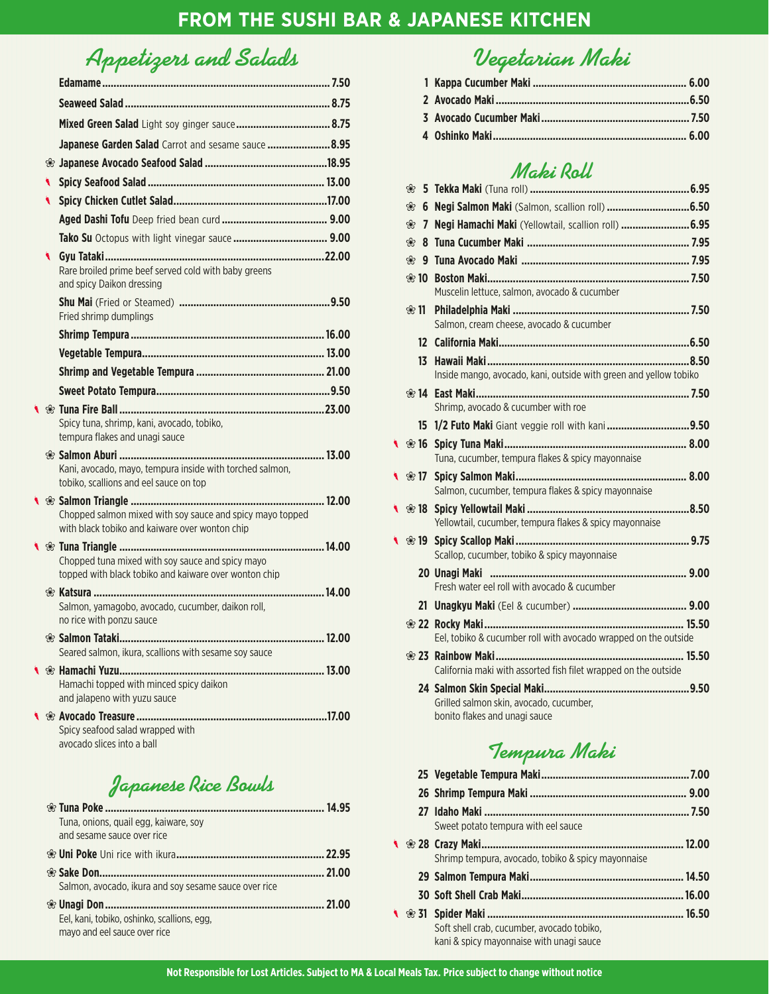### *Appetizers and Salads*

|   | Mixed Green Salad Light soy ginger sauce 8.75                                                               |       |
|---|-------------------------------------------------------------------------------------------------------------|-------|
|   | Japanese Garden Salad Carrot and sesame sauce  8.95                                                         |       |
|   |                                                                                                             |       |
|   |                                                                                                             |       |
| ◥ |                                                                                                             |       |
|   |                                                                                                             |       |
|   |                                                                                                             |       |
|   | Rare broiled prime beef served cold with baby greens<br>and spicy Daikon dressing                           |       |
|   | Fried shrimp dumplings                                                                                      |       |
|   |                                                                                                             |       |
|   |                                                                                                             |       |
|   |                                                                                                             |       |
|   |                                                                                                             |       |
|   | Spicy tuna, shrimp, kani, avocado, tobiko,<br>tempura flakes and unagi sauce                                |       |
|   | Kani, avocado, mayo, tempura inside with torched salmon,<br>tobiko, scallions and eel sauce on top          |       |
|   | Chopped salmon mixed with soy sauce and spicy mayo topped<br>with black tobiko and kaiware over wonton chip |       |
|   | Chopped tuna mixed with soy sauce and spicy mayo<br>topped with black tobiko and kaiware over wonton chip   |       |
|   | Salmon, yamagobo, avocado, cucumber, daikon roll,<br>no rice with ponzu sauce                               |       |
|   | <sup>®</sup> Salmon Tataki                                                                                  | 12.00 |
|   | Seared salmon, ikura, scallions with sesame soy sauce                                                       |       |
|   | Hamachi topped with minced spicy daikon<br>and jalapeno with yuzu sauce                                     |       |
|   | Spicy seafood salad wrapped with<br>avocado slices into a ball                                              |       |

*Japanese Rice Bowls*

| Tuna, onions, quail egg, kaiware, soy<br>and sesame sauce over rice         |        |
|-----------------------------------------------------------------------------|--------|
|                                                                             | .22.95 |
|                                                                             | 21.00  |
| Salmon, avocado, ikura and soy sesame sauce over rice                       |        |
|                                                                             | 21.00  |
| Eel, kani, tobiko, oshinko, scallions, egg.<br>mayo and eel sauce over rice |        |

# *Vegetarian Maki*

#### *Maki Roll*

| ❀               |                                                                          |
|-----------------|--------------------------------------------------------------------------|
| ❀<br>7          | Negi Hamachi Maki (Yellowtail, scallion roll)  6.95                      |
| ❀<br>8          |                                                                          |
| ❀               |                                                                          |
| ⊛ 10            | Muscelin lettuce, salmon, avocado & cucumber                             |
| ❀ 11            | Salmon, cream cheese, avocado & cucumber                                 |
| 12 <sup>2</sup> |                                                                          |
| 13.             | Inside mango, avocado, kani, outside with green and yellow tobiko        |
| $*14$           | Shrimp, avocado & cucumber with roe                                      |
|                 | 15 1/2 Futo Maki Giant veggie roll with kani9.50                         |
|                 | Tuna, cucumber, tempura flakes & spicy mayonnaise                        |
|                 | Salmon, cucumber, tempura flakes & spicy mayonnaise                      |
|                 | Yellowtail, cucumber, tempura flakes & spicy mayonnaise                  |
|                 | Scallop, cucumber, tobiko & spicy mayonnaise                             |
|                 | Fresh water eel roll with avocado & cucumber                             |
|                 |                                                                          |
|                 | Eel, tobiko & cucumber roll with avocado wrapped on the outside          |
|                 | California maki with assorted fish filet wrapped on the outside          |
|                 | Grilled salmon skin, avocado, cucumber,<br>bonito flakes and unagi sauce |

### *Tempura Maki*

|   | Sweet potato tempura with eel sauce                |  |
|---|----------------------------------------------------|--|
| ◥ |                                                    |  |
|   | Shrimp tempura, avocado, tobiko & spicy mayonnaise |  |
|   |                                                    |  |
|   |                                                    |  |
|   |                                                    |  |
|   | Soft shell crab, cucumber, avocado tobiko,         |  |
|   | kani & spicy mayonnaise with unagi sauce           |  |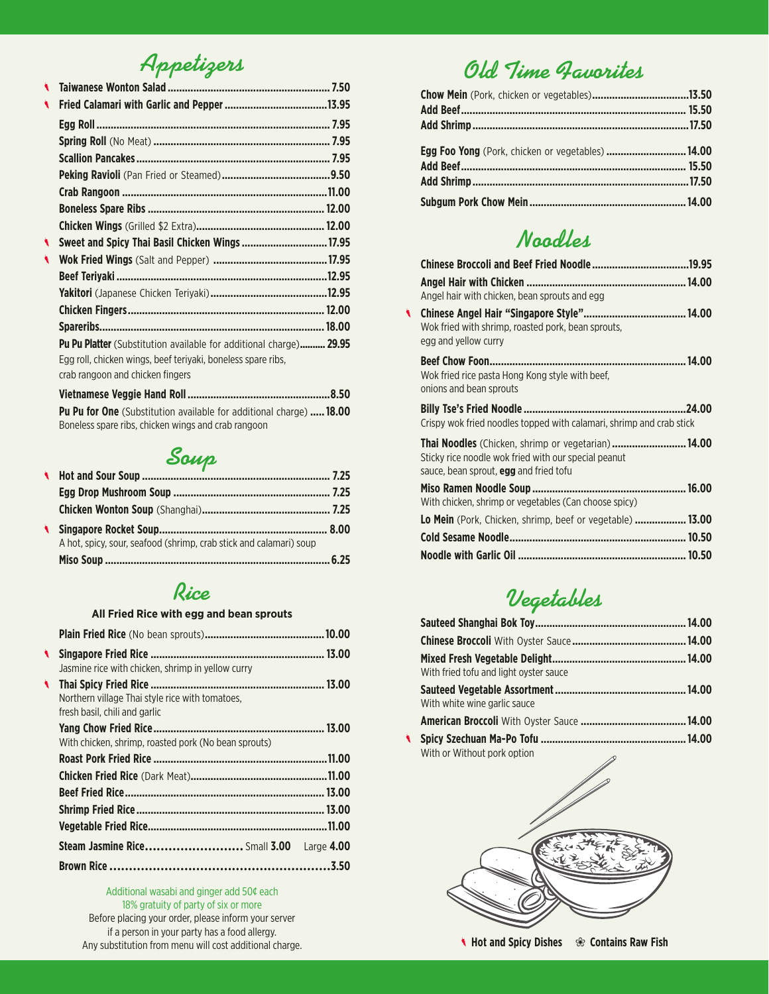*Appetizers*

| ۹  |                                                                                                  |  |
|----|--------------------------------------------------------------------------------------------------|--|
| ۹  |                                                                                                  |  |
|    |                                                                                                  |  |
|    |                                                                                                  |  |
|    |                                                                                                  |  |
|    |                                                                                                  |  |
|    |                                                                                                  |  |
|    |                                                                                                  |  |
|    |                                                                                                  |  |
| ۹. | Sweet and Spicy Thai Basil Chicken Wings  17.95                                                  |  |
| ۹  |                                                                                                  |  |
|    |                                                                                                  |  |
|    |                                                                                                  |  |
|    |                                                                                                  |  |
|    |                                                                                                  |  |
|    | <b>Pu Pu Platter</b> (Substitution available for additional charge) 29.95                        |  |
|    | Egg roll, chicken wings, beef teriyaki, boneless spare ribs,<br>crab rangoon and chicken fingers |  |
|    |                                                                                                  |  |
|    | <b>Pu Pu for One</b> (Substitution available for additional charge)  18.00                       |  |

**Soup** 325

Boneless spare ribs, chicken wings and crab rangoon

| <b>UTION ONE OF A STATE CONTRACT STATE CONTRACT SUBSTITUTION</b>   |  |
|--------------------------------------------------------------------|--|
|                                                                    |  |
|                                                                    |  |
|                                                                    |  |
| A hot, spicy, sour, seafood (shrimp, crab stick and calamari) soup |  |
|                                                                    |  |
|                                                                    |  |

#### *Rice*

#### **All Fried Rice with egg and bean sprouts**

| ◥ | Jasmine rice with chicken, shrimp in yellow curry                                |  |
|---|----------------------------------------------------------------------------------|--|
|   | Northern village Thai style rice with tomatoes,<br>fresh basil, chili and garlic |  |
|   | With chicken, shrimp, roasted pork (No bean sprouts)                             |  |
|   |                                                                                  |  |
|   |                                                                                  |  |
|   |                                                                                  |  |
|   |                                                                                  |  |
|   |                                                                                  |  |
|   | Steam Jasmine Rice Small 3.00 Large 4.00                                         |  |
|   |                                                                                  |  |

Additional wasabi and ginger add 50¢ each 18% gratuity of party of six or more Before placing your order, please inform your server if a person in your party has a food allergy. Any substitution from menu will cost additional charge.

# *Old Time Favorites*

| Egg Foo Yong (Pork, chicken or vegetables)  14.00 |  |
|---------------------------------------------------|--|
|                                                   |  |
|                                                   |  |
|                                                   |  |
|                                                   |  |

#### *Noodles*

|   | Angel hair with chicken, bean sprouts and egg                                                                                                       |  |
|---|-----------------------------------------------------------------------------------------------------------------------------------------------------|--|
| ◥ | Wok fried with shrimp, roasted pork, bean sprouts,<br>egg and yellow curry                                                                          |  |
|   | Wok fried rice pasta Hong Kong style with beef,<br>onions and bean sprouts                                                                          |  |
|   | Crispy wok fried noodles topped with calamari, shrimp and crab stick                                                                                |  |
|   | Thai Noodles (Chicken, shrimp or vegetarian)14.00<br>Sticky rice noodle wok fried with our special peanut<br>sauce, bean sprout, egg and fried tofu |  |
|   | With chicken, shrimp or vegetables (Can choose spicy)                                                                                               |  |
|   | <b>Lo Mein</b> (Pork, Chicken, shrimp, beef or vegetable)  13.00                                                                                    |  |
|   |                                                                                                                                                     |  |
|   |                                                                                                                                                     |  |
|   |                                                                                                                                                     |  |

# *Vegetables*

| With fried tofu and light oyster sauce                  |  |
|---------------------------------------------------------|--|
|                                                         |  |
| With white wine garlic sauce                            |  |
|                                                         |  |
|                                                         |  |
| With or Without pork option<br>$\overline{\phantom{a}}$ |  |



j **Hot and Spicy Dishes** ❀ **Contains Raw Fish**